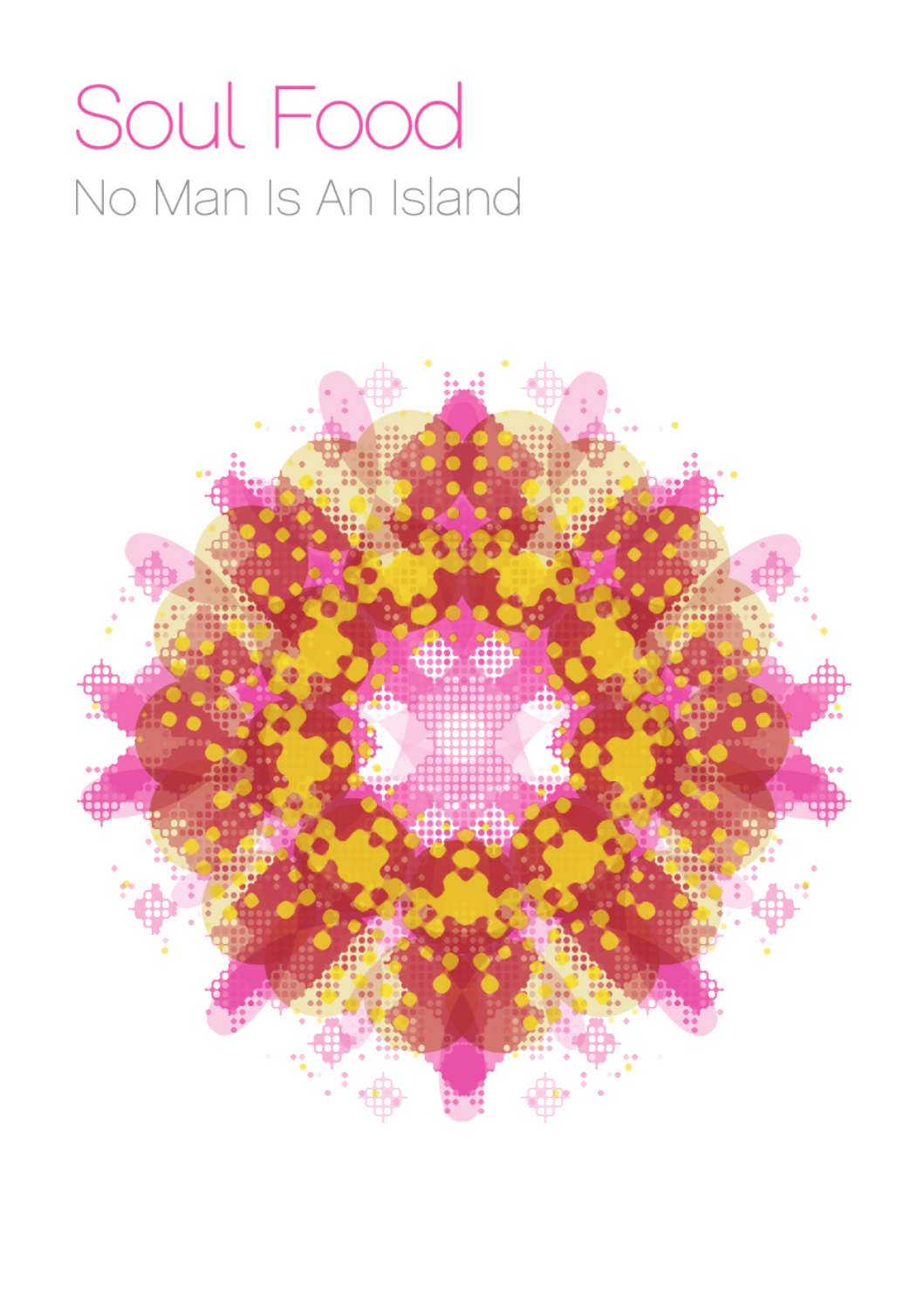# Soul Food No Man Is An Island

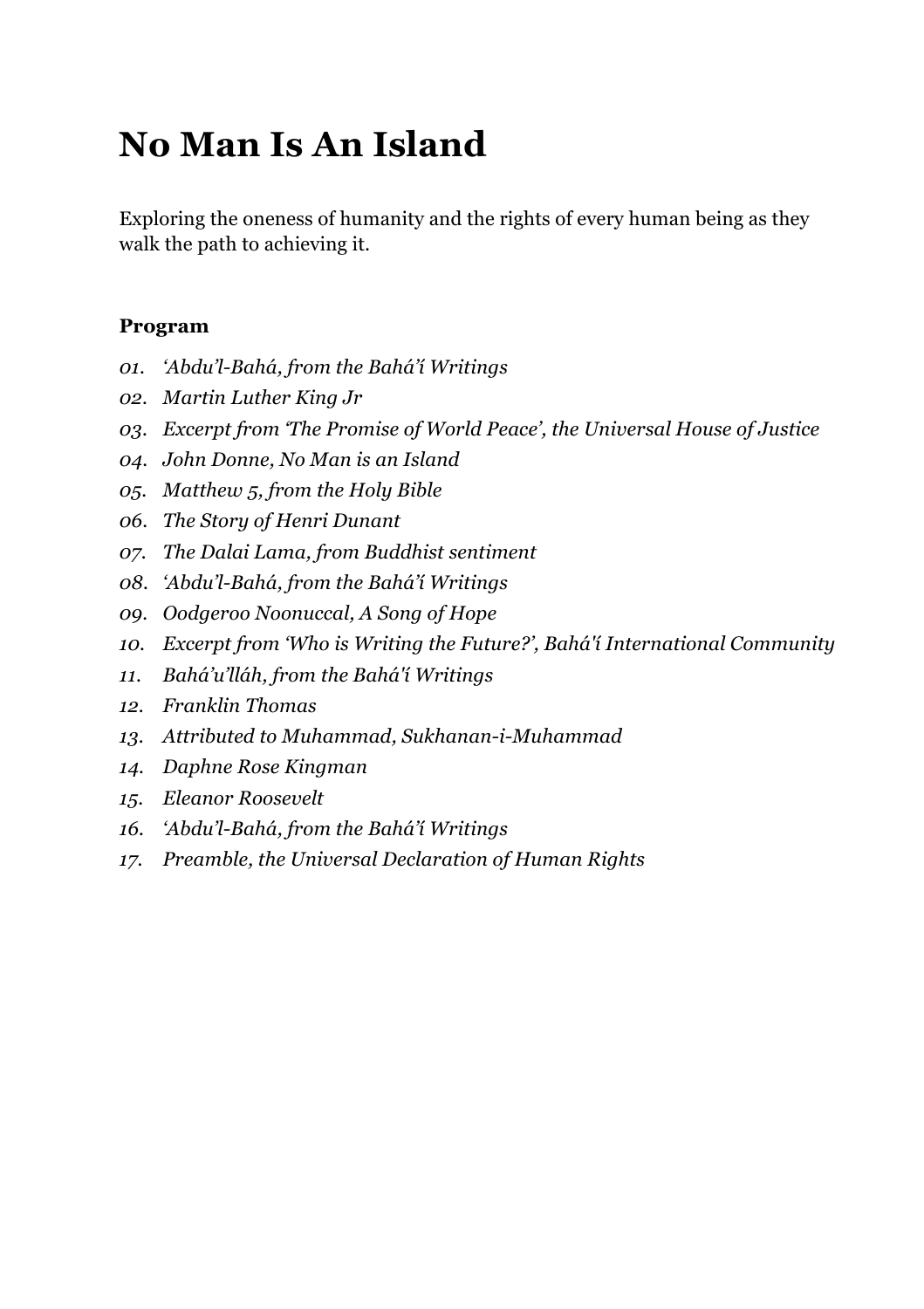# **No Man Is An Island**

Exploring the oneness of humanity and the rights of every human being as they walk the path to achieving it.

#### **Program**

- *01. 'Abdu'l-Bahá, from the Bahá'í Writings*
- *02. Martin Luther King Jr*
- *03. Excerpt from 'The Promise of World Peace', the Universal House of Justice*
- *04. John Donne, No Man is an Island*
- *05. Matthew 5, from the Holy Bible*
- *06. The Story of Henri Dunant*
- *07. The Dalai Lama, from Buddhist sentiment*
- *08. 'Abdu'l-Bahá, from the Bahá'í Writings*
- *09. Oodgeroo Noonuccal, A Song of Hope*
- *10. Excerpt from 'Who is Writing the Future?', Bahá'í International Community*
- *11. Bahá'u'lláh, from the Bahá'í Writings*
- *12. Franklin Thomas*
- *13. Attributed to Muhammad, Sukhanan-i-Muhammad*
- *14. Daphne Rose Kingman*
- *15. Eleanor Roosevelt*
- *16. 'Abdu'l-Bahá, from the Bahá'í Writings*
- *17. Preamble, the Universal Declaration of Human Rights*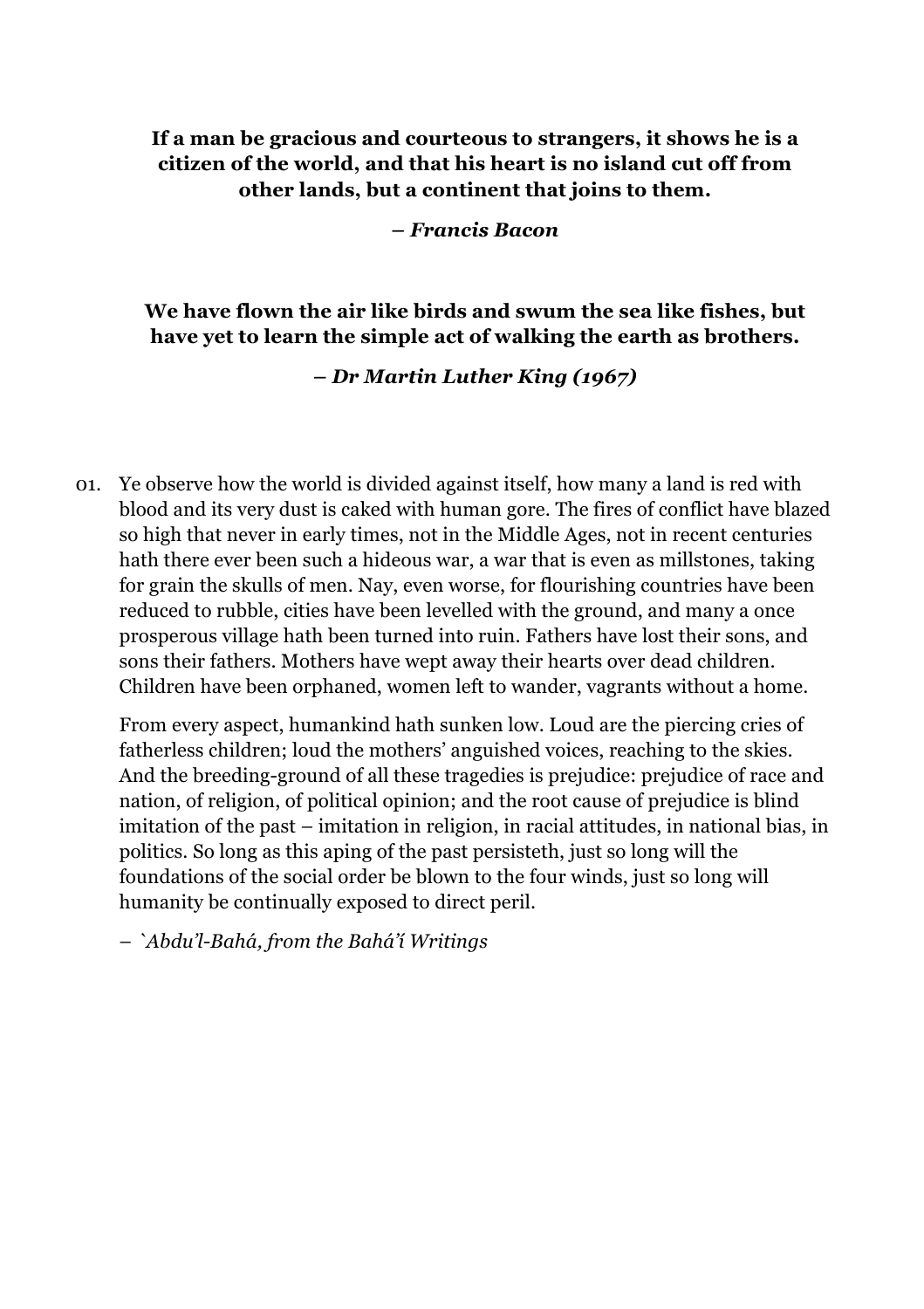#### **If a man be gracious and courteous to strangers, it shows he is a citizen of the world, and that his heart is no island cut off from other lands, but a continent that joins to them.**

#### *– Francis Bacon*

#### **We have flown the air like birds and swum the sea like fishes, but have yet to learn the simple act of walking the earth as brothers.**

#### *– Dr Martin Luther King (1967)*

01. Ye observe how the world is divided against itself, how many a land is red with blood and its very dust is caked with human gore. The fires of conflict have blazed so high that never in early times, not in the Middle Ages, not in recent centuries hath there ever been such a hideous war, a war that is even as millstones, taking for grain the skulls of men. Nay, even worse, for flourishing countries have been reduced to rubble, cities have been levelled with the ground, and many a once prosperous village hath been turned into ruin. Fathers have lost their sons, and sons their fathers. Mothers have wept away their hearts over dead children. Children have been orphaned, women left to wander, vagrants without a home.

From every aspect, humankind hath sunken low. Loud are the piercing cries of fatherless children; loud the mothers' anguished voices, reaching to the skies. And the breeding-ground of all these tragedies is prejudice: prejudice of race and nation, of religion, of political opinion; and the root cause of prejudice is blind imitation of the past – imitation in religion, in racial attitudes, in national bias, in politics. So long as this aping of the past persisteth, just so long will the foundations of the social order be blown to the four winds, just so long will humanity be continually exposed to direct peril.

– *`Abdu'l-Bahá, from the Bahá'í Writings*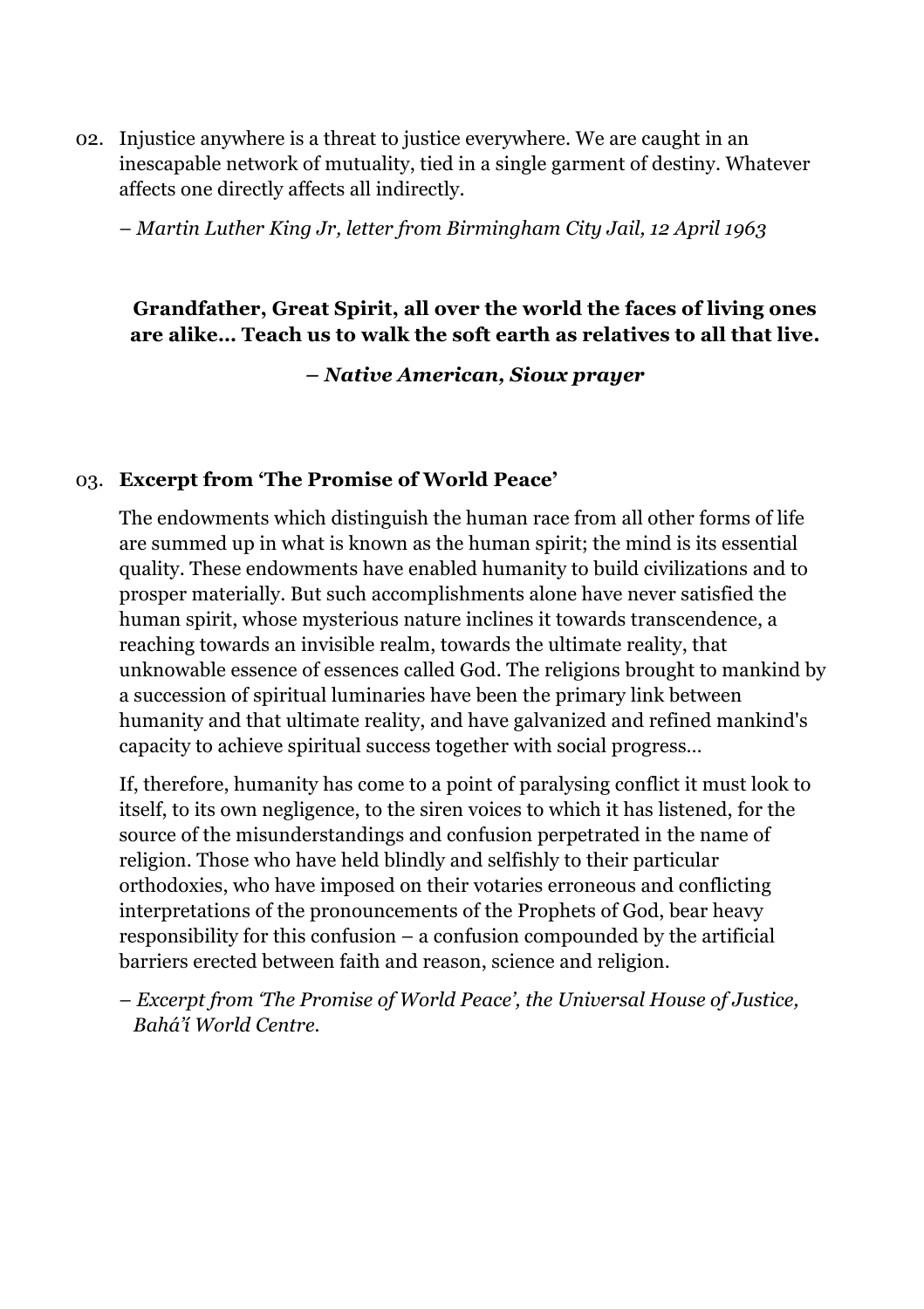02. Injustice anywhere is a threat to justice everywhere. We are caught in an inescapable network of mutuality, tied in a single garment of destiny. Whatever affects one directly affects all indirectly.

– *Martin Luther King Jr, letter from Birmingham City Jail, 12 April 1963*

#### **Grandfather, Great Spirit, all over the world the faces of living ones are alike… Teach us to walk the soft earth as relatives to all that live.**

*– Native American, Sioux prayer*

#### 03. **Excerpt from 'The Promise of World Peace'**

The endowments which distinguish the human race from all other forms of life are summed up in what is known as the human spirit; the mind is its essential quality. These endowments have enabled humanity to build civilizations and to prosper materially. But such accomplishments alone have never satisfied the human spirit, whose mysterious nature inclines it towards transcendence, a reaching towards an invisible realm, towards the ultimate reality, that unknowable essence of essences called God. The religions brought to mankind by a succession of spiritual luminaries have been the primary link between humanity and that ultimate reality, and have galvanized and refined mankind's capacity to achieve spiritual success together with social progress…

If, therefore, humanity has come to a point of paralysing conflict it must look to itself, to its own negligence, to the siren voices to which it has listened, for the source of the misunderstandings and confusion perpetrated in the name of religion. Those who have held blindly and selfishly to their particular orthodoxies, who have imposed on their votaries erroneous and conflicting interpretations of the pronouncements of the Prophets of God, bear heavy responsibility for this confusion – a confusion compounded by the artificial barriers erected between faith and reason, science and religion.

– *Excerpt from 'The Promise of World Peace', the Universal House of Justice, Bahá'í World Centre.*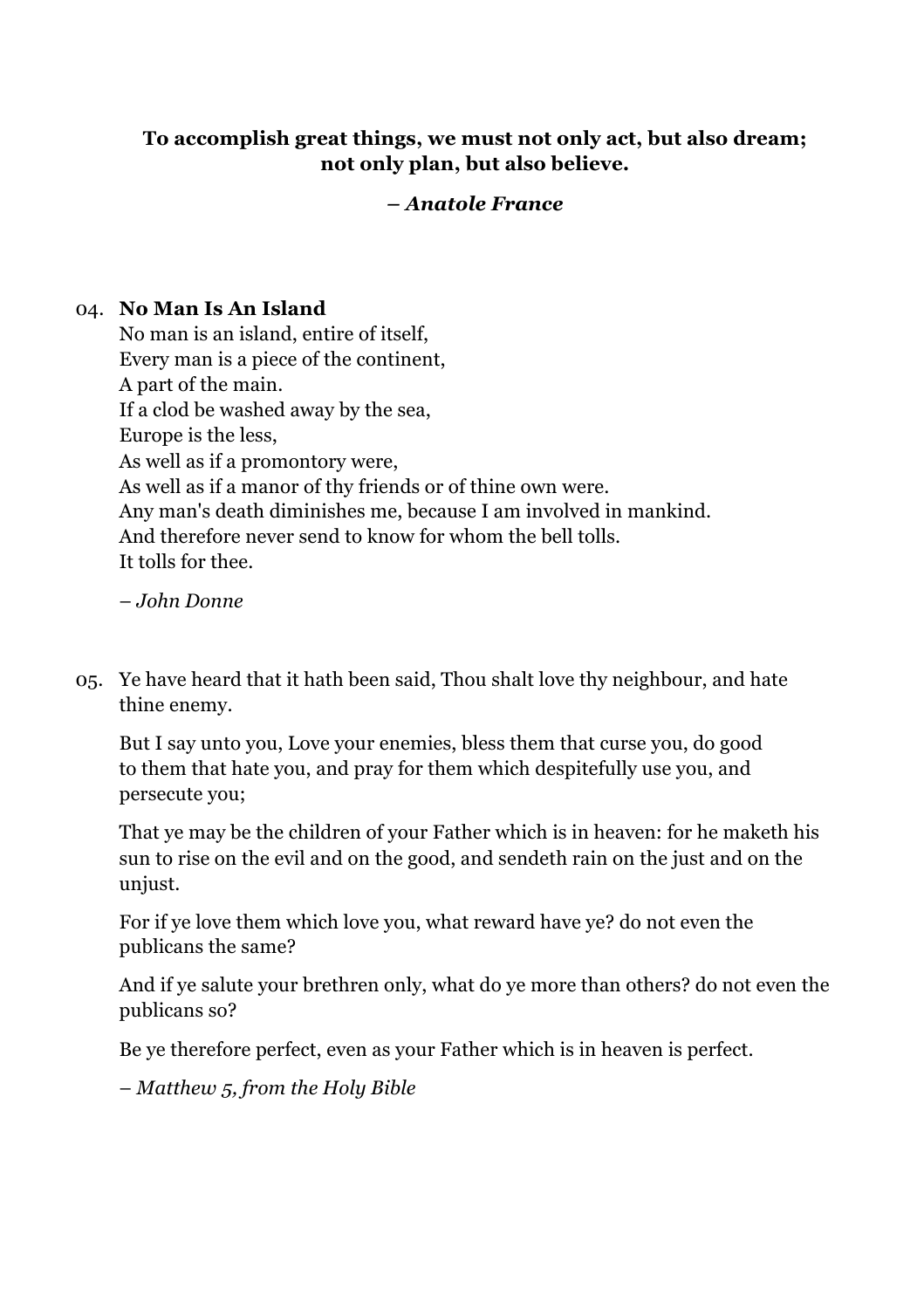#### **To accomplish great things, we must not only act, but also dream; not only plan, but also believe.**

#### *– Anatole France*

#### 04. **No Man Is An Island**

No man is an island, entire of itself, Every man is a piece of the continent, A part of the main. If a clod be washed away by the sea, Europe is the less, As well as if a promontory were, As well as if a manor of thy friends or of thine own were. Any man's death diminishes me, because I am involved in mankind. And therefore never send to know for whom the bell tolls. It tolls for thee.

– *John Donne*

05. Ye have heard that it hath been said, Thou shalt love thy neighbour, and hate thine enemy.

But I say unto you, Love your enemies, bless them that curse you, do good to them that hate you, and pray for them which despitefully use you, and persecute you;

That ye may be the children of your Father which is in heaven: for he maketh his sun to rise on the evil and on the good, and sendeth rain on the just and on the unjust.

For if ye love them which love you, what reward have ye? do not even the publicans the same?

And if ye salute your brethren only, what do ye more than others? do not even the publicans so?

Be ye therefore perfect, even as your Father which is in heaven is perfect.

– *Matthew 5, from the Holy Bible*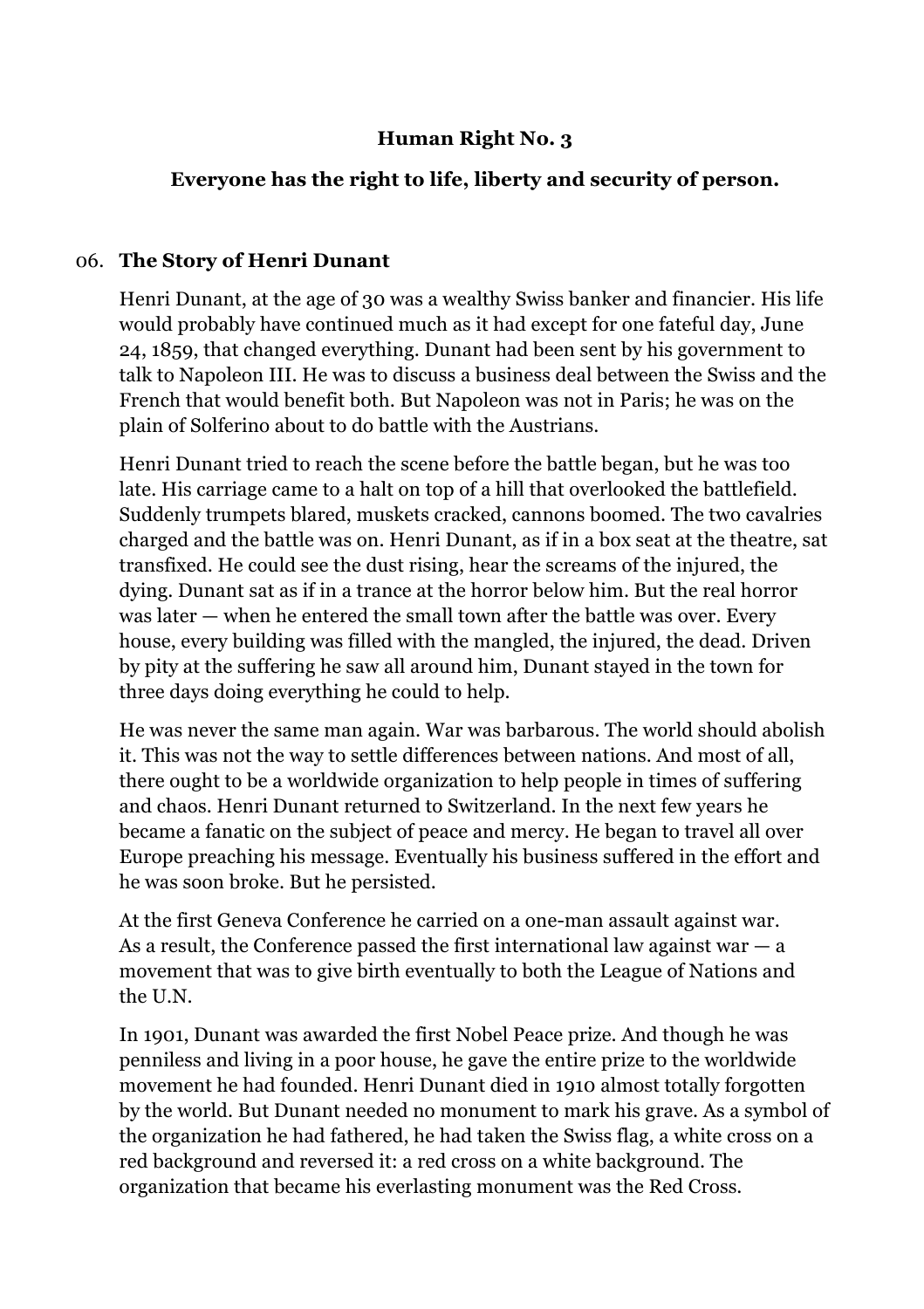#### **Human Right No. 3**

#### **Everyone has the right to life, liberty and security of person.**

#### 06. **The Story of Henri Dunant**

Henri Dunant, at the age of 30 was a wealthy Swiss banker and financier. His life would probably have continued much as it had except for one fateful day, June 24, 1859, that changed everything. Dunant had been sent by his government to talk to Napoleon III. He was to discuss a business deal between the Swiss and the French that would benefit both. But Napoleon was not in Paris; he was on the plain of Solferino about to do battle with the Austrians.

Henri Dunant tried to reach the scene before the battle began, but he was too late. His carriage came to a halt on top of a hill that overlooked the battlefield. Suddenly trumpets blared, muskets cracked, cannons boomed. The two cavalries charged and the battle was on. Henri Dunant, as if in a box seat at the theatre, sat transfixed. He could see the dust rising, hear the screams of the injured, the dying. Dunant sat as if in a trance at the horror below him. But the real horror was later — when he entered the small town after the battle was over. Every house, every building was filled with the mangled, the injured, the dead. Driven by pity at the suffering he saw all around him, Dunant stayed in the town for three days doing everything he could to help.

He was never the same man again. War was barbarous. The world should abolish it. This was not the way to settle differences between nations. And most of all, there ought to be a worldwide organization to help people in times of suffering and chaos. Henri Dunant returned to Switzerland. In the next few years he became a fanatic on the subject of peace and mercy. He began to travel all over Europe preaching his message. Eventually his business suffered in the effort and he was soon broke. But he persisted.

At the first Geneva Conference he carried on a one-man assault against war. As a result, the Conference passed the first international law against war  $-a$ movement that was to give birth eventually to both the League of Nations and the U.N.

In 1901, Dunant was awarded the first Nobel Peace prize. And though he was penniless and living in a poor house, he gave the entire prize to the worldwide movement he had founded. Henri Dunant died in 1910 almost totally forgotten by the world. But Dunant needed no monument to mark his grave. As a symbol of the organization he had fathered, he had taken the Swiss flag, a white cross on a red background and reversed it: a red cross on a white background. The organization that became his everlasting monument was the Red Cross.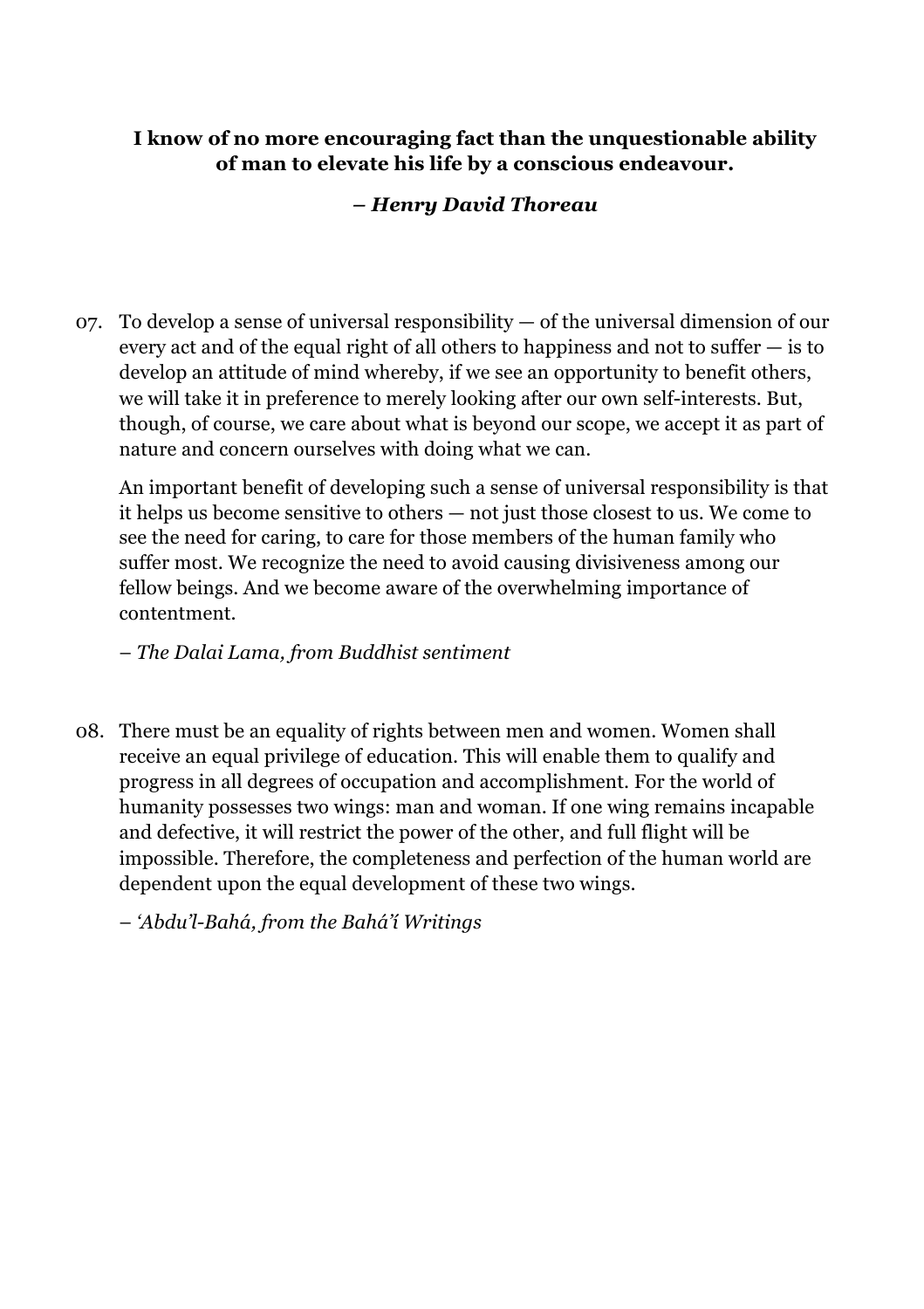#### **I know of no more encouraging fact than the unquestionable ability of man to elevate his life by a conscious endeavour.**

#### *– Henry David Thoreau*

07. To develop a sense of universal responsibility — of the universal dimension of our every act and of the equal right of all others to happiness and not to suffer — is to develop an attitude of mind whereby, if we see an opportunity to benefit others, we will take it in preference to merely looking after our own self-interests. But, though, of course, we care about what is beyond our scope, we accept it as part of nature and concern ourselves with doing what we can.

An important benefit of developing such a sense of universal responsibility is that it helps us become sensitive to others — not just those closest to us. We come to see the need for caring, to care for those members of the human family who suffer most. We recognize the need to avoid causing divisiveness among our fellow beings. And we become aware of the overwhelming importance of contentment.

– *The Dalai Lama, from Buddhist sentiment*

08. There must be an equality of rights between men and women. Women shall receive an equal privilege of education. This will enable them to qualify and progress in all degrees of occupation and accomplishment. For the world of humanity possesses two wings: man and woman. If one wing remains incapable and defective, it will restrict the power of the other, and full flight will be impossible. Therefore, the completeness and perfection of the human world are dependent upon the equal development of these two wings.

– *'Abdu'l-Bahá, from the Bahá'í Writings*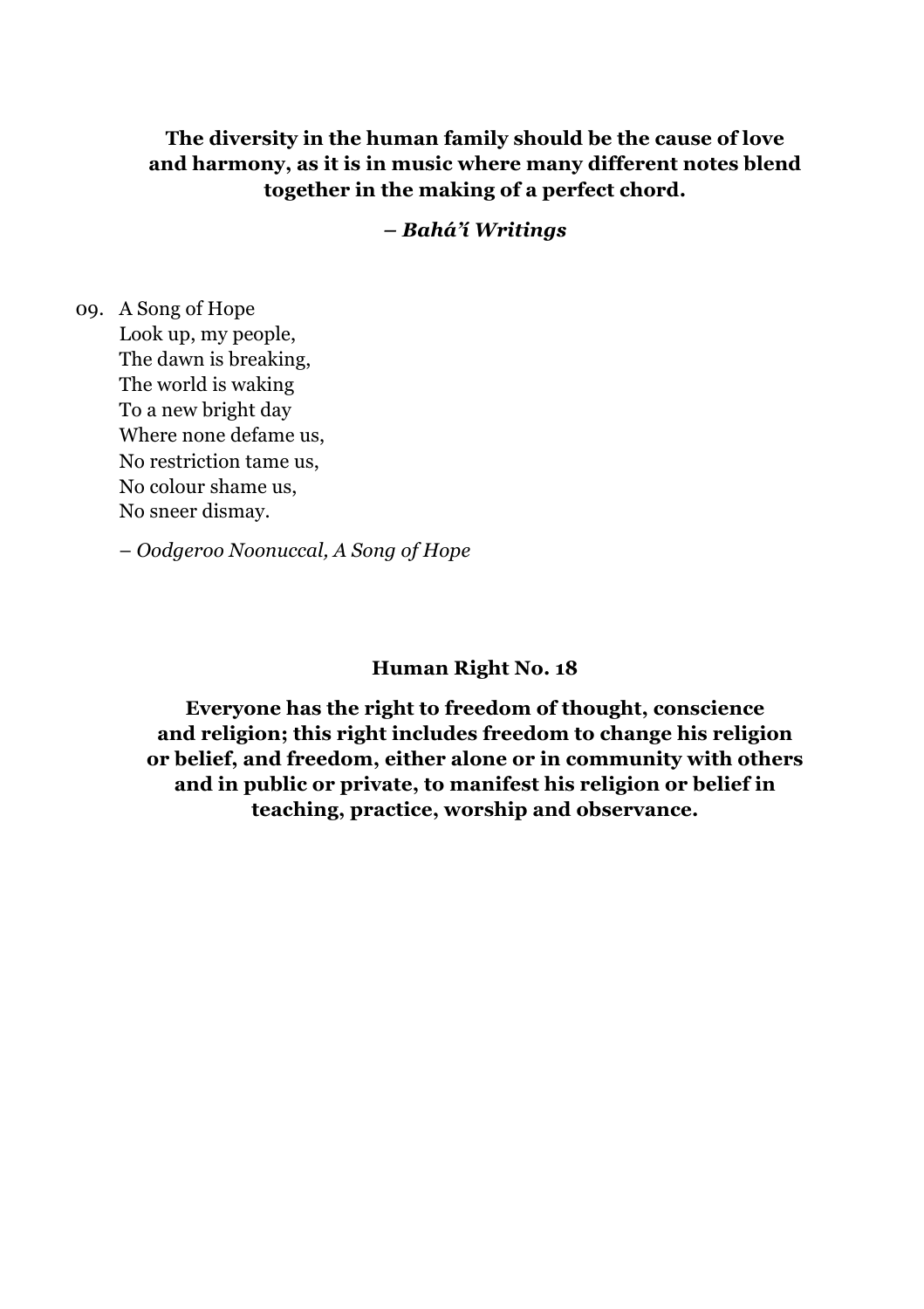**The diversity in the human family should be the cause of love and harmony, as it is in music where many different notes blend together in the making of a perfect chord.**

*– Bahá'í Writings*

09. A Song of Hope Look up, my people, The dawn is breaking, The world is waking To a new bright day Where none defame us, No restriction tame us, No colour shame us, No sneer dismay.

– *Oodgeroo Noonuccal, A Song of Hope* 

#### **Human Right No. 18**

**Everyone has the right to freedom of thought, conscience and religion; this right includes freedom to change his religion or belief, and freedom, either alone or in community with others and in public or private, to manifest his religion or belief in teaching, practice, worship and observance.**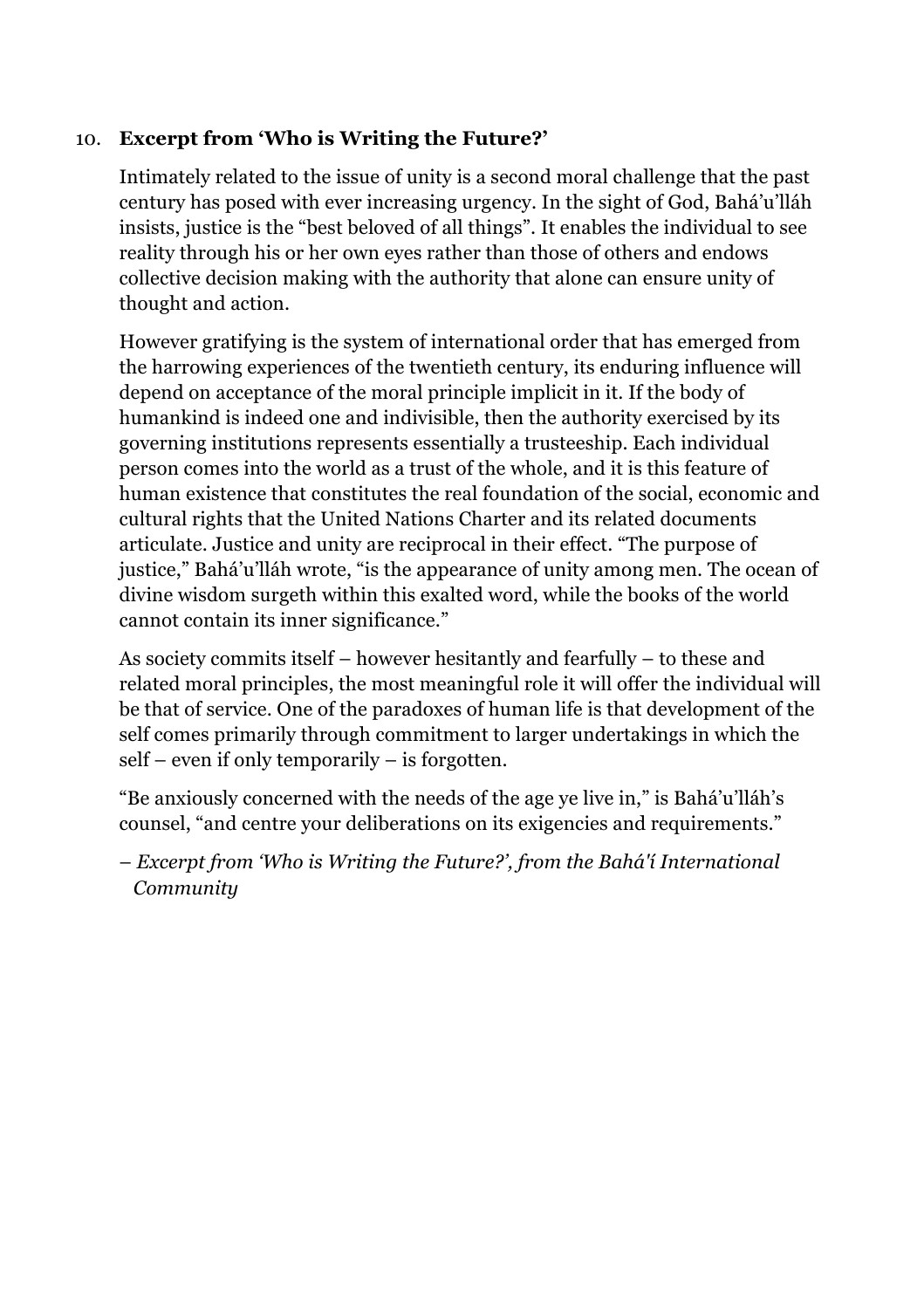#### 10. **Excerpt from 'Who is Writing the Future?'**

Intimately related to the issue of unity is a second moral challenge that the past century has posed with ever increasing urgency. In the sight of God, Bahá'u'lláh insists, justice is the "best beloved of all things". It enables the individual to see reality through his or her own eyes rather than those of others and endows collective decision making with the authority that alone can ensure unity of thought and action.

However gratifying is the system of international order that has emerged from the harrowing experiences of the twentieth century, its enduring influence will depend on acceptance of the moral principle implicit in it. If the body of humankind is indeed one and indivisible, then the authority exercised by its governing institutions represents essentially a trusteeship. Each individual person comes into the world as a trust of the whole, and it is this feature of human existence that constitutes the real foundation of the social, economic and cultural rights that the United Nations Charter and its related documents articulate. Justice and unity are reciprocal in their effect. "The purpose of justice," Bahá'u'lláh wrote, "is the appearance of unity among men. The ocean of divine wisdom surgeth within this exalted word, while the books of the world cannot contain its inner significance."

As society commits itself – however hesitantly and fearfully – to these and related moral principles, the most meaningful role it will offer the individual will be that of service. One of the paradoxes of human life is that development of the self comes primarily through commitment to larger undertakings in which the self – even if only temporarily – is forgotten.

"Be anxiously concerned with the needs of the age ye live in," is Bahá'u'lláh's counsel, "and centre your deliberations on its exigencies and requirements."

– *Excerpt from 'Who is Writing the Future?', from the Bahá'í International Community*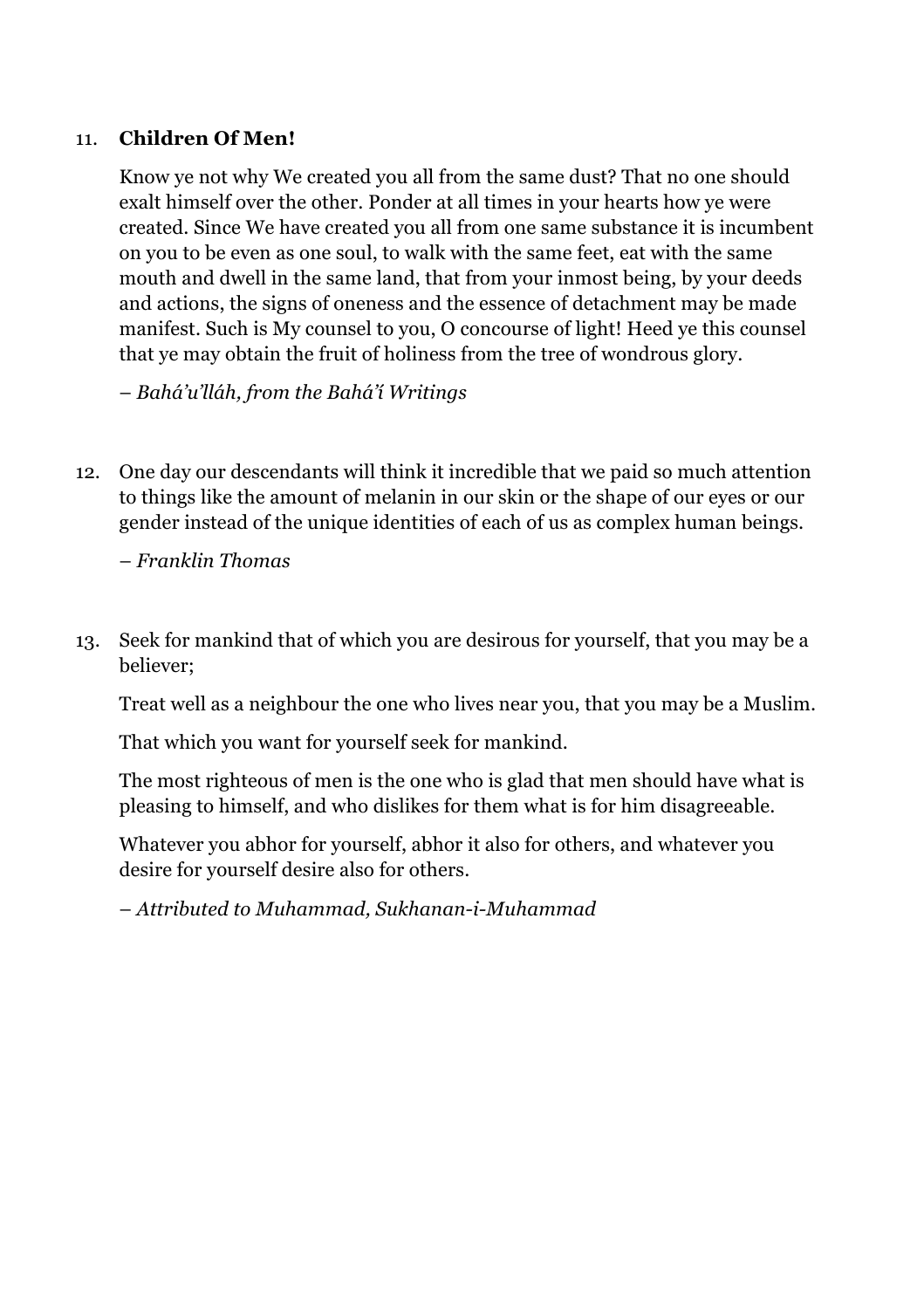#### 11. **Children Of Men!**

Know ye not why We created you all from the same dust? That no one should exalt himself over the other. Ponder at all times in your hearts how ye were created. Since We have created you all from one same substance it is incumbent on you to be even as one soul, to walk with the same feet, eat with the same mouth and dwell in the same land, that from your inmost being, by your deeds and actions, the signs of oneness and the essence of detachment may be made manifest. Such is My counsel to you, O concourse of light! Heed ye this counsel that ye may obtain the fruit of holiness from the tree of wondrous glory.

– *Bahá'u'lláh, from the Bahá'í Writings*

12. One day our descendants will think it incredible that we paid so much attention to things like the amount of melanin in our skin or the shape of our eyes or our gender instead of the unique identities of each of us as complex human beings.

– *Franklin Thomas*

13. Seek for mankind that of which you are desirous for yourself, that you may be a believer;

Treat well as a neighbour the one who lives near you, that you may be a Muslim.

That which you want for yourself seek for mankind.

The most righteous of men is the one who is glad that men should have what is pleasing to himself, and who dislikes for them what is for him disagreeable.

Whatever you abhor for yourself, abhor it also for others, and whatever you desire for yourself desire also for others.

– *Attributed to Muhammad, Sukhanan-i-Muhammad*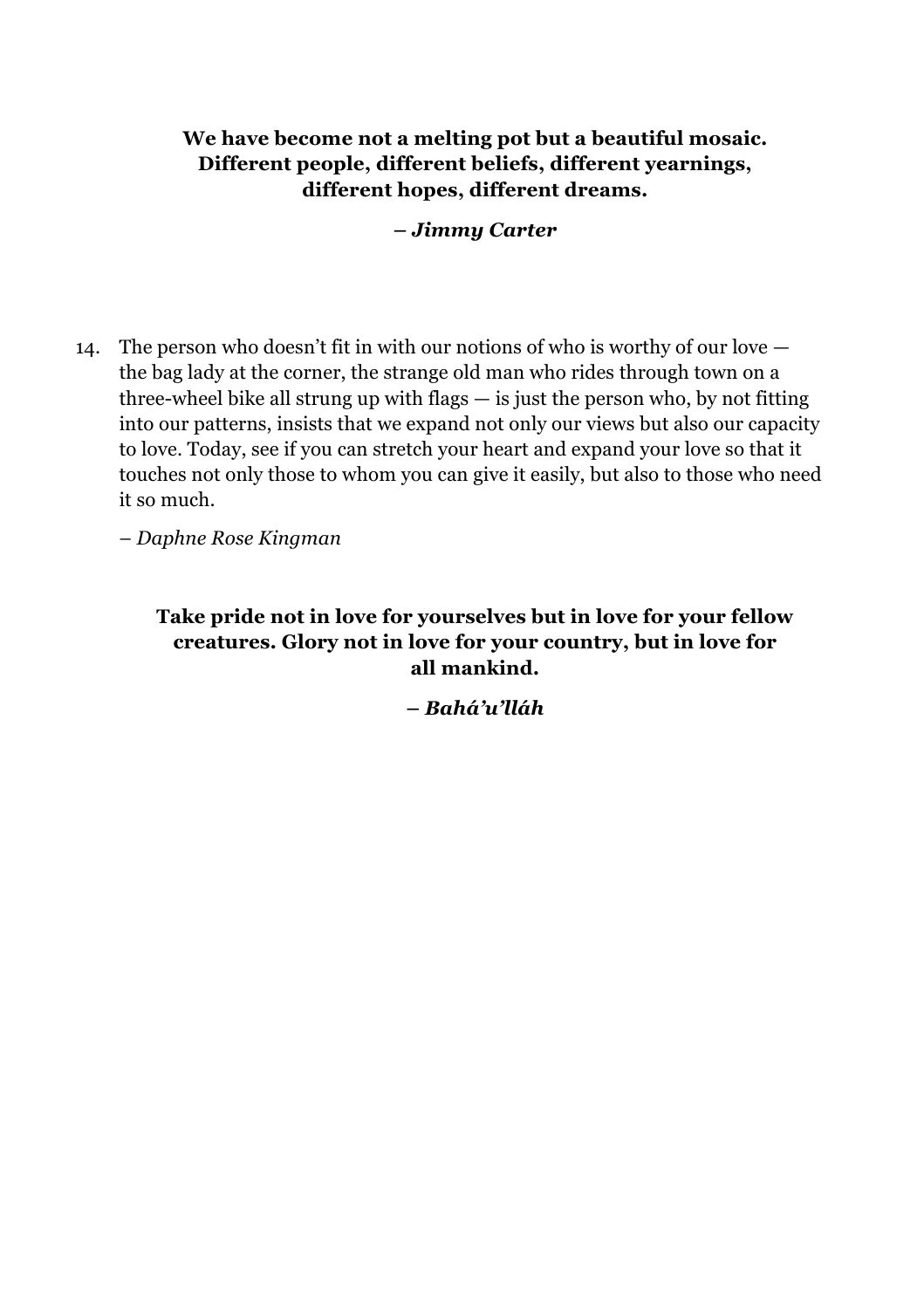#### **We have become not a melting pot but a beautiful mosaic. Different people, different beliefs, different yearnings, different hopes, different dreams.**

*– Jimmy Carter*

14. The person who doesn't fit in with our notions of who is worthy of our love the bag lady at the corner, the strange old man who rides through town on a three-wheel bike all strung up with flags — is just the person who, by not fitting into our patterns, insists that we expand not only our views but also our capacity to love. Today, see if you can stretch your heart and expand your love so that it touches not only those to whom you can give it easily, but also to those who need it so much.

– *Daphne Rose Kingman*

#### **Take pride not in love for yourselves but in love for your fellow creatures. Glory not in love for your country, but in love for all mankind.**

*– Bahá'u'lláh*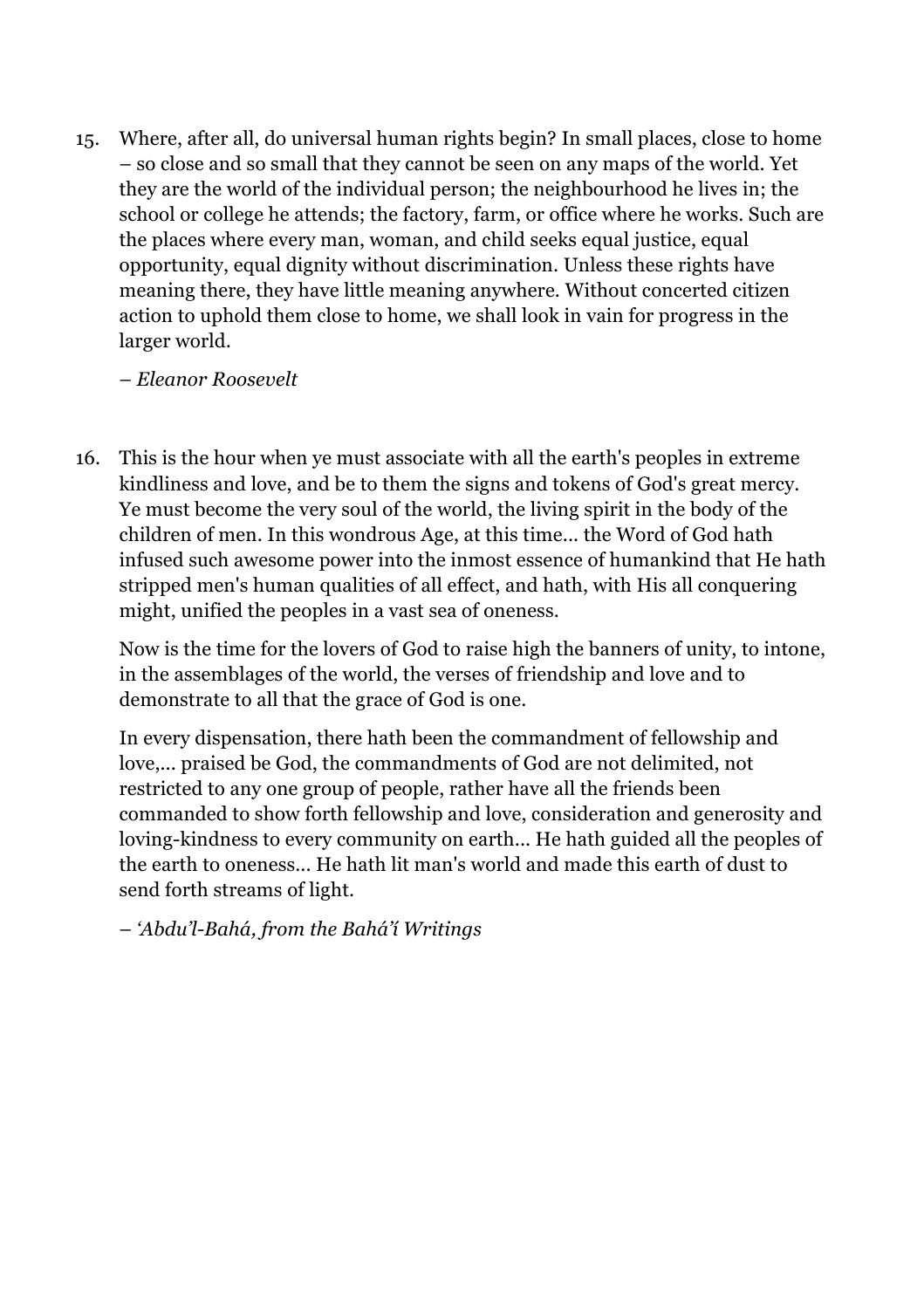15. Where, after all, do universal human rights begin? In small places, close to home – so close and so small that they cannot be seen on any maps of the world. Yet they are the world of the individual person; the neighbourhood he lives in; the school or college he attends; the factory, farm, or office where he works. Such are the places where every man, woman, and child seeks equal justice, equal opportunity, equal dignity without discrimination. Unless these rights have meaning there, they have little meaning anywhere. Without concerted citizen action to uphold them close to home, we shall look in vain for progress in the larger world.

– *Eleanor Roosevelt*

16. This is the hour when ye must associate with all the earth's peoples in extreme kindliness and love, and be to them the signs and tokens of God's great mercy. Ye must become the very soul of the world, the living spirit in the body of the children of men. In this wondrous Age, at this time... the Word of God hath infused such awesome power into the inmost essence of humankind that He hath stripped men's human qualities of all effect, and hath, with His all conquering might, unified the peoples in a vast sea of oneness.

Now is the time for the lovers of God to raise high the banners of unity, to intone, in the assemblages of the world, the verses of friendship and love and to demonstrate to all that the grace of God is one.

In every dispensation, there hath been the commandment of fellowship and love,... praised be God, the commandments of God are not delimited, not restricted to any one group of people, rather have all the friends been commanded to show forth fellowship and love, consideration and generosity and loving-kindness to every community on earth... He hath guided all the peoples of the earth to oneness... He hath lit man's world and made this earth of dust to send forth streams of light.

– *'Abdu'l-Bahá, from the Bahá'í Writings*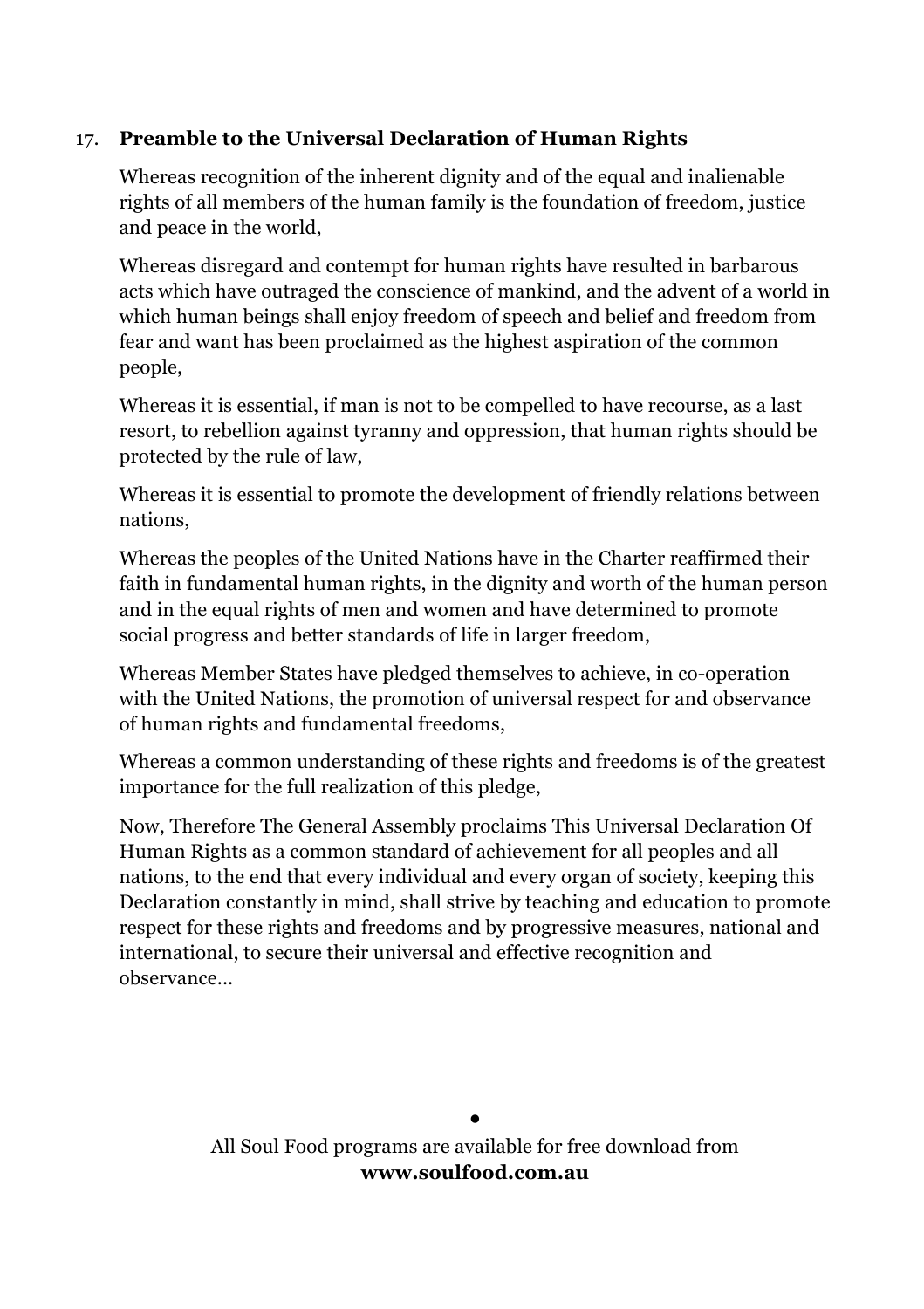#### 17. **Preamble to the Universal Declaration of Human Rights**

Whereas recognition of the inherent dignity and of the equal and inalienable rights of all members of the human family is the foundation of freedom, justice and peace in the world,

Whereas disregard and contempt for human rights have resulted in barbarous acts which have outraged the conscience of mankind, and the advent of a world in which human beings shall enjoy freedom of speech and belief and freedom from fear and want has been proclaimed as the highest aspiration of the common people,

Whereas it is essential, if man is not to be compelled to have recourse, as a last resort, to rebellion against tyranny and oppression, that human rights should be protected by the rule of law,

Whereas it is essential to promote the development of friendly relations between nations,

Whereas the peoples of the United Nations have in the Charter reaffirmed their faith in fundamental human rights, in the dignity and worth of the human person and in the equal rights of men and women and have determined to promote social progress and better standards of life in larger freedom,

Whereas Member States have pledged themselves to achieve, in co-operation with the United Nations, the promotion of universal respect for and observance of human rights and fundamental freedoms,

Whereas a common understanding of these rights and freedoms is of the greatest importance for the full realization of this pledge,

Now, Therefore The General Assembly proclaims This Universal Declaration Of Human Rights as a common standard of achievement for all peoples and all nations, to the end that every individual and every organ of society, keeping this Declaration constantly in mind, shall strive by teaching and education to promote respect for these rights and freedoms and by progressive measures, national and international, to secure their universal and effective recognition and observance...

> **•** All Soul Food programs are available for free download from **www.soulfood.com.au**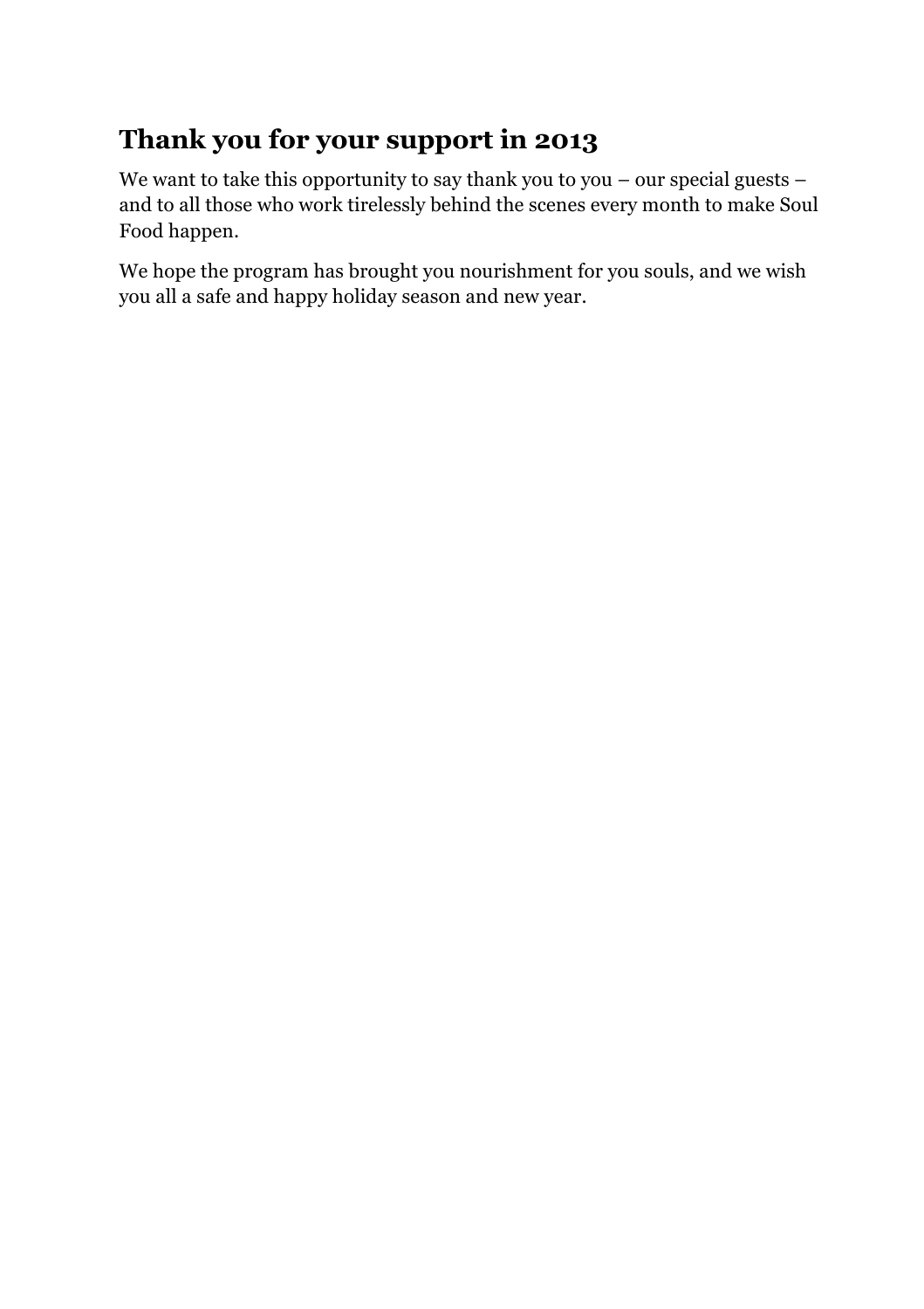# **Thank you for your support in 2013**

We want to take this opportunity to say thank you to you – our special guests – and to all those who work tirelessly behind the scenes every month to make Soul Food happen.

We hope the program has brought you nourishment for you souls, and we wish you all a safe and happy holiday season and new year.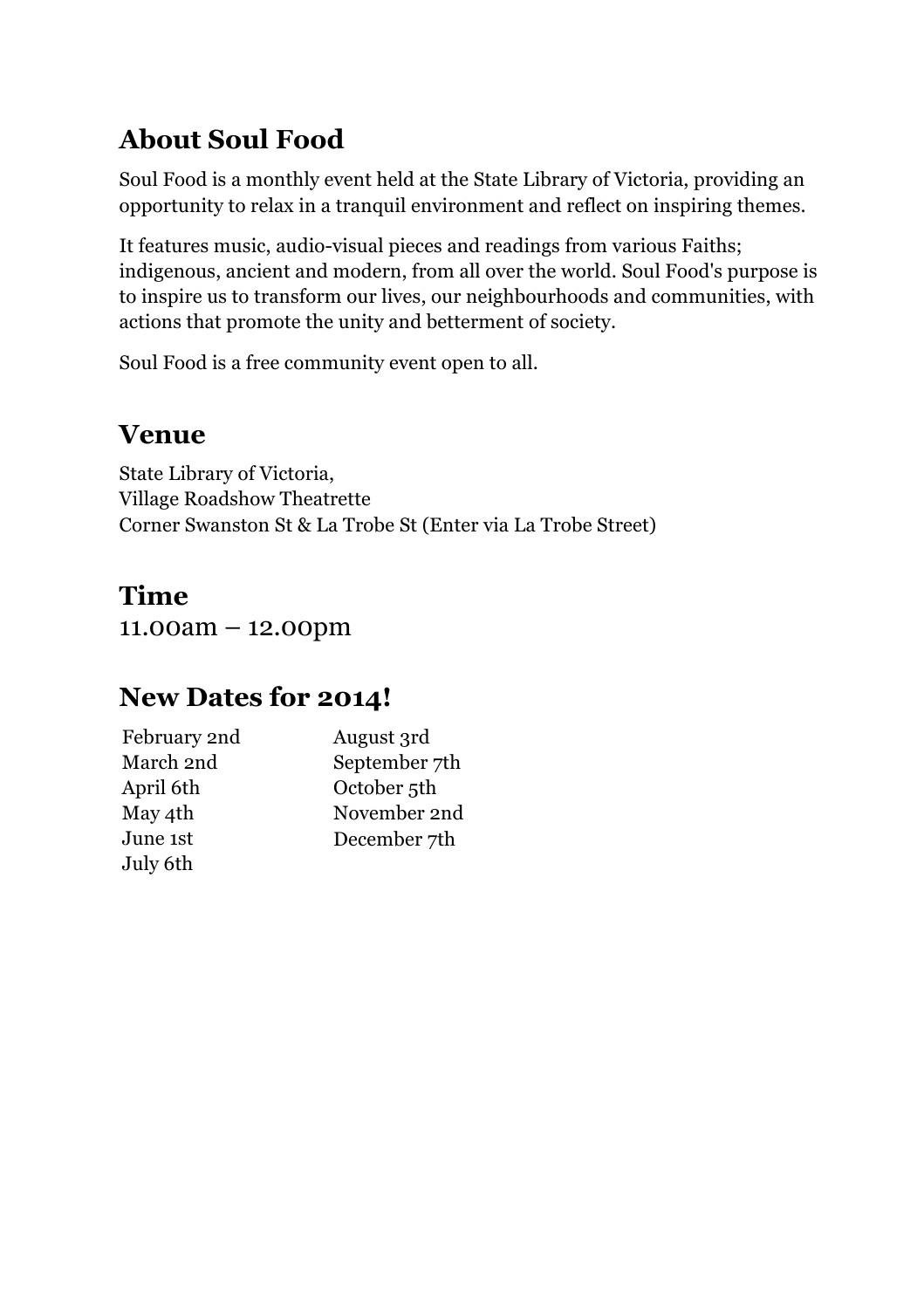# **About Soul Food**

Soul Food is a monthly event held at the State Library of Victoria, providing an opportunity to relax in a tranquil environment and reflect on inspiring themes.

It features music, audio-visual pieces and readings from various Faiths; indigenous, ancient and modern, from all over the world. Soul Food's purpose is to inspire us to transform our lives, our neighbourhoods and communities, with actions that promote the unity and betterment of society.

Soul Food is a free community event open to all.

### **Venue**

State Library of Victoria, Village Roadshow Theatrette Corner Swanston St & La Trobe St (Enter via La Trobe Street)

# **Time**

11.00am – 12.00pm

## **New Dates for 2014!**

| February 2nd | August 3rd              |
|--------------|-------------------------|
| March 2nd    | September 7th           |
| April 6th    | October <sub>5</sub> th |
| May 4th      | November 2nd            |
| June 1st     | December 7th            |
| July 6th     |                         |